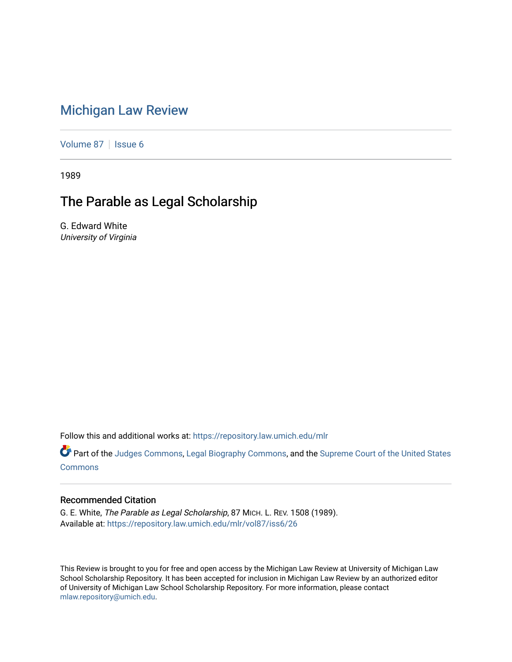## [Michigan Law Review](https://repository.law.umich.edu/mlr)

[Volume 87](https://repository.law.umich.edu/mlr/vol87) | [Issue 6](https://repository.law.umich.edu/mlr/vol87/iss6)

1989

# The Parable as Legal Scholarship

G. Edward White University of Virginia

Follow this and additional works at: [https://repository.law.umich.edu/mlr](https://repository.law.umich.edu/mlr?utm_source=repository.law.umich.edu%2Fmlr%2Fvol87%2Fiss6%2F26&utm_medium=PDF&utm_campaign=PDFCoverPages) 

Part of the [Judges Commons,](http://network.bepress.com/hgg/discipline/849?utm_source=repository.law.umich.edu%2Fmlr%2Fvol87%2Fiss6%2F26&utm_medium=PDF&utm_campaign=PDFCoverPages) [Legal Biography Commons,](http://network.bepress.com/hgg/discipline/834?utm_source=repository.law.umich.edu%2Fmlr%2Fvol87%2Fiss6%2F26&utm_medium=PDF&utm_campaign=PDFCoverPages) and the Supreme Court of the United States **[Commons](http://network.bepress.com/hgg/discipline/1350?utm_source=repository.law.umich.edu%2Fmlr%2Fvol87%2Fiss6%2F26&utm_medium=PDF&utm_campaign=PDFCoverPages)** 

## Recommended Citation

G. E. White, The Parable as Legal Scholarship, 87 MICH. L. REV. 1508 (1989). Available at: [https://repository.law.umich.edu/mlr/vol87/iss6/26](https://repository.law.umich.edu/mlr/vol87/iss6/26?utm_source=repository.law.umich.edu%2Fmlr%2Fvol87%2Fiss6%2F26&utm_medium=PDF&utm_campaign=PDFCoverPages) 

This Review is brought to you for free and open access by the Michigan Law Review at University of Michigan Law School Scholarship Repository. It has been accepted for inclusion in Michigan Law Review by an authorized editor of University of Michigan Law School Scholarship Repository. For more information, please contact [mlaw.repository@umich.edu.](mailto:mlaw.repository@umich.edu)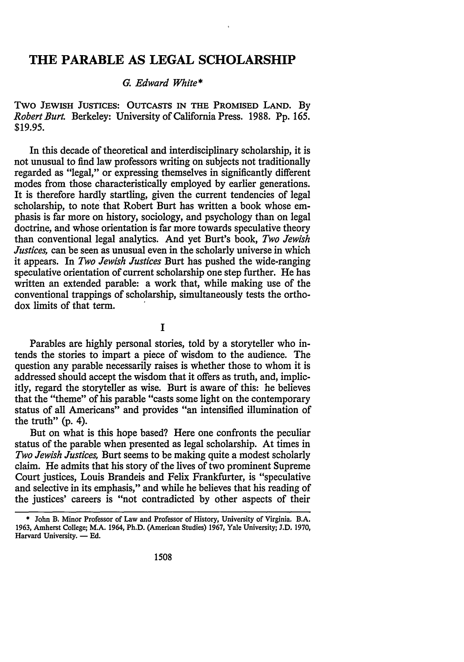## **THE PARABLE AS LEGAL SCHOLARSHIP**

### *G. Edward White\**

Two JEWISH JUSTICES: OUTCASTS IN THE PROMISED LAND. By *Robert Burt.* Berkeley: University of California Press. 1988. Pp. 165. \$19.95.

In this decade of theoretical and interdisciplinary scholarship, it is not unusual to find law professors writing on subjects not traditionally regarded as "legal," or expressing themselves in significantly different modes from those characteristically employed by earlier generations. It is therefore hardly startling, given the current tendencies of legal scholarship, to note that Robert Burt has written a book whose emphasis is far more on history, sociology, and psychology than on legal doctrine, and whose orientation is far more towards speculative theory than conventional legal analytics. And yet Burt's book, *Two Jewish Justices,* can be seen as unusual even in the scholarly universe in which it appears. In *Two Jewish Justices* Burt has pushed the wide-ranging speculative orientation of current scholarship one step further. He has written an extended parable: a work that, while making use of the conventional trappings of scholarship, simultaneously tests the orthodox limits of that term.

I

Parables are highly personal stories, told by a storyteller who intends the stories to impart a piece of wisdom to the audience. The question any parable necessarily raises is whether those to whom it is addressed should accept the wisdom that it offers as truth, and, implicitly, regard the storyteller as wise. Burt is aware of this: he believes that the "theme" of his parable "casts some light on the contemporary status of all Americans" and provides "an intensified illumination of the truth" (p. 4).

But on what is this hope based? Here one confronts the peculiar status of the parable when presented as legal scholarship. At times in *Two Jewish Justices,* Burt seems to be making quite a modest scholarly claim. He admits that his story of the lives of two prominent Supreme Court justices, Louis Brandeis and Felix Frankfurter, is "speculative and selective in its emphasis," and while he believes that his reading of the justices' careers is "not contradicted by other aspects of their

<sup>\*</sup> John B. Minor Professor of Law and Professor of History, University of Virginia. B.A. 1963, Amherst College; M.A. 1964, Ph.D. (American Studies) 1967, Yale University; J.D. 1970, Harvard University. - Ed.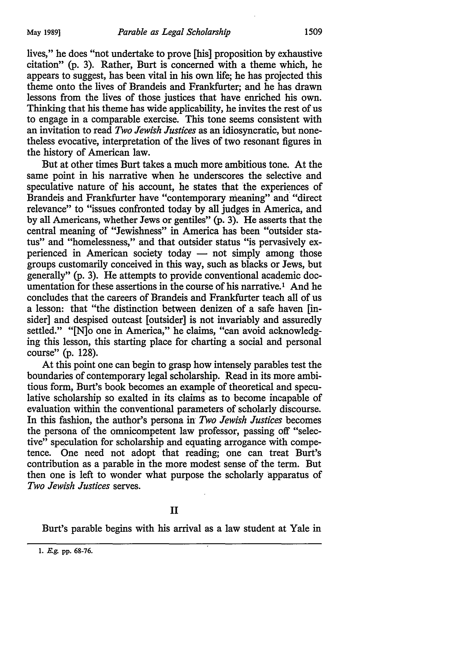lives," he does "not undertake to prove [his] proposition by exhaustive citation" (p. 3). Rather, Burt is concerned with a theme which, he appears to suggest, has been vital in his own life; he has projected this theme onto the lives of Brandeis and Frankfurter; and he has drawn lessons from the lives of those justices that have enriched his own. Thinking that his theme has wide applicability, he invites the rest of us to engage in a comparable exercise. This tone seems consistent with an invitation to read *Two Jewish Justices* as an idiosyncratic, but nonetheless evocative, interpretation of the lives of two resonant figures in the history of American law.

But at other times Burt takes a much more ambitious tone. At the same point in his narrative when he underscores the selective and speculative nature of his account, he states that the experiences of Brandeis and Frankfurter have "contemporary meaning" and "direct relevance" to "issues confronted today by all judges in America, and by all Americans, whether Jews or gentiles" (p. 3). He asserts that the central meaning of "Jewishness" in America has been "outsider status" and "homelessness," and that outsider status "is pervasively experienced in American society today  $-$  not simply among those groups customarily conceived in this way, such as blacks or Jews, but generally" (p. 3). He attempts to provide conventional academic documentation for these assertions in the course of his narrative.<sup>1</sup> And he concludes that the careers of Brandeis and Frankfurter teach all of us a lesson: that "the distinction between denizen of a safe haven [insider] and despised outcast [outsider] is not invariably and assuredly settled." "[N]o one in America," he claims, "can avoid acknowledging this lesson, this starting place for charting a social and personal course" (p. 128).

At this point one can begin to grasp how intensely parables test the boundaries of contemporary legal scholarship. Read in its more ambitious form, Burt's book becomes an example of theoretical and speculative scholarship so exalted in its claims as to become incapable of evaluation within the conventional parameters of scholarly discourse. In this fashion, the author's persona in *Two Jewish Justices* becomes the persona of the omnicompetent law professor, passing off "selective" speculation for scholarship and equating arrogance with competence. One need not adopt that reading; one can treat Burt's contribution as a parable in the more modest sense of the term. But then one is left to wonder what purpose the scholarly apparatus of *Two Jewish Justices* serves.

II

Burt's parable begins with his arrival as a law student at Yale in

I. E.g. pp. 68-76.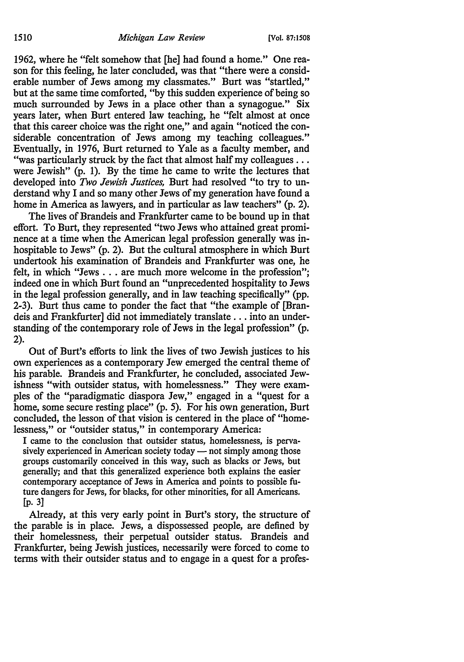1962, where he "felt somehow that [he] had found a home." One reason for this feeling, he later concluded, was that "there were a considerable number of Jews among my classmates." Burt was "startled," but at the same time comforted, "by this sudden experience of being so much surrounded by Jews in a place other than a synagogue." Six years later, when Burt entered law teaching, he "felt almost at once that this career choice was the right one," and again "noticed the considerable concentration of Jews among my teaching colleagues." Eventually, in 1976, Burt returned to Yale as a faculty member, and "was particularly struck by the fact that almost half my colleagues . . . were Jewish" (p. 1). By the time he came to write the lectures that developed into *Two Jewish Justices,* Burt had resolved "to try to understand why I and so many other Jews of my generation have found a home in America as lawyers, and in particular as law teachers" (p. 2).

The lives of Brandeis and Frankfurter came to be bound up in that effort. To Burt, they represented "two Jews who attained great prominence at a time when the American legal profession generally was inhospitable to Jews" (p. 2). But the cultural atmosphere in which Burt undertook his examination of Brandeis and Frankfurter was one, he felt, in which "Jews ... are much more welcome in the profession"; indeed one in which Burt found an "unprecedented hospitality to Jews in the legal profession generally, and in law teaching specifically" (pp. 2-3). Burt thus came to ponder the fact that "the example of [Brandeis and Frankfurter] did not immediately translate ... into an understanding of the contemporary role of Jews in the legal profession" (p. 2).

Out of Burt's efforts to link the lives of two Jewish justices to his own experiences as a contemporary Jew emerged the central theme of his parable. Brandeis and Frankfurter, he concluded, associated Jewishness "with outsider status, with homelessness." They were examples of the "paradigmatic diaspora Jew," engaged in a "quest for a home, some secure resting place" (p. 5). For his own generation, Burt concluded, the lesson of that vision is centered in the place of "homelessness," or "outsider status," in contemporary America:

I came to the conclusion that outsider status, homelessness, is pervasively experienced in American society today - not simply among those groups customarily conceived in this way, such as blacks or Jews, but generally; and that this generalized experience both explains the easier contemporary acceptance of Jews in America and points to possible future dangers for Jews, for blacks, for other minorities, for all Americans. [p. 3]

Already, at this very early point in Burt's story, the structure of the parable is in place. Jews, a dispossessed people, are defined by their homelessness, their perpetual outsider status. Brandeis and Frankfurter, being Jewish justices, necessarily were forced to come to terms with their outsider status and to engage in a quest for a profes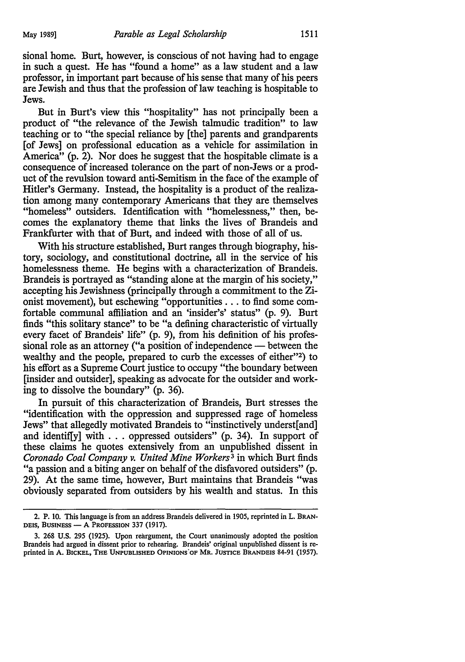sional home. Burt, however, is conscious of not having had to engage in such a quest. He has "found a home" as a law student and a law professor, in important part because of his sense that many of his peers are Jewish and thus that the profession of law teaching is hospitable to Jews.

But in Burt's view this "hospitality" has not principally been a product of "the relevance of the Jewish talmudic tradition" to law teaching or to "the special reliance by [the] parents and grandparents [of Jews] on professional education as a vehicle for assimilation in America" (p. 2). Nor does he suggest that the hospitable climate is a consequence of increased tolerance on the part of non-Jews or a product of the revulsion toward anti-Semitism in the face of the example of Hitler's Germany. Instead, the hospitality is a product of the realization among many contemporary Americans that they are themselves "homeless" outsiders. Identification with "homelessness," then, becomes the explanatory theme that links the lives of Brandeis and Frankfurter with that of Burt, and indeed with those of all of us.

With his structure established, Burt ranges through biography, history, sociology, and constitutional doctrine, all in the service of his homelessness theme. He begins with a characterization of Brandeis. Brandeis is portrayed as "standing alone at the margin of his society," accepting his Jewishness (principally through a commitment to the Zionist movement), but eschewing "opportunities ... to find some comfortable communal affiliation and an 'insider's' status" (p. 9). Burt finds "this solitary stance" to be "a defining characteristic of virtually every facet of Brandeis' life" (p. 9), from his definition of his professional role as an attorney ("a position of independence  $-$  between the wealthy and the people, prepared to curb the excesses of either"2) to his effort as a Supreme Court justice to occupy "the boundary between [insider and outsider], speaking as advocate for the outsider and working to dissolve the boundary" (p. 36).

In pursuit of this characterization of Brandeis, Burt stresses the "identification with the oppression and suppressed rage of homeless Jews" that allegedly motivated Brandeis to "instinctively underst[and] and identif[y] with ... oppressed outsiders" (p. 34). In support of these claims he quotes extensively from an unpublished dissent in *Coronado Coal Company v. United Mine Workers <sup>3</sup>*in which Burt finds "a passion and a biting anger on behalf of the disfavored outsiders" (p. 29). At the same time, however, Burt maintains that Brandeis "was obviously separated from outsiders by his wealth and status. In this

<sup>2.</sup> P. 10. This language is from an address Brandeis delivered in 1905, reprinted in L. BRAN-DEIS, BUSINESS - A PROFESSION 337 (1917).

<sup>3. 268</sup> U.S. 295 (1925). Upon reargument, the Court unanimously adopted the position Brandeis had argued in dissent prior to rehearing. Brandeis' original unpublished dissent is reprinted in A. BICKEL, THE UNPUBLISHED OPINIONS OF MR. JUSTICE BRANDEIS 84-91 (1957).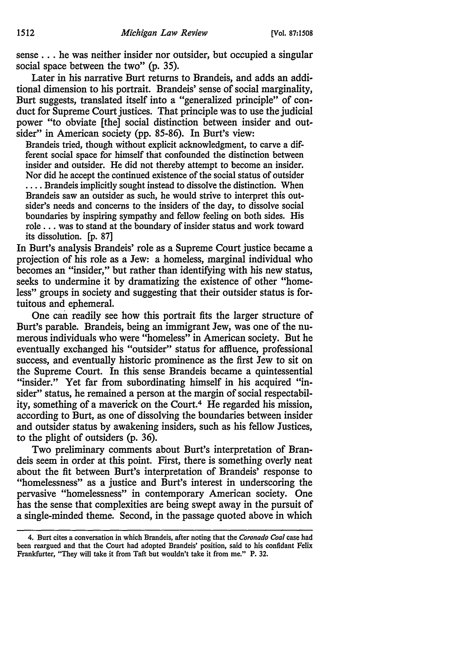sense ... he was neither insider nor outsider, but occupied a singular social space between the two" (p. 35).

Later in his narrative Burt returns to Brandeis, and adds an additional dimension to his portrait. Brandeis' sense of social marginality, Burt suggests, translated itself into a "generalized principle" of conduct for Supreme Court justices. That principle was to use the judicial power "to obviate [the] social distinction between insider and outsider" in American society (pp. 85-86). In Burt's view:

Brandeis tried, though without explicit acknowledgment, to carve a different social space for himself that confounded the distinction between insider and outsider. He did not thereby attempt to become an insider. Nor did he accept the continued existence of the social status of outsider .... Brandeis implicitly sought instead to dissolve the distinction. When Brandeis saw an outsider as such, he would strive to interpret this outsider's needs and concerns to the insiders of the day, to dissolve social boundaries by inspiring sympathy and fellow feeling on both sides. His role ... was to stand at the boundary of insider status and work toward its dissolution. [p. 87]

In Burt's analysis Brandeis' role as a Supreme Court justice became a projection of his role as a Jew: a homeless, marginal individual who becomes an "insider," but rather than identifying with his new status, seeks to undermine it by dramatizing the existence of other "homeless" groups in society and suggesting that their outsider status is fortuitous and ephemeral.

One can readily see how this portrait fits the larger structure of Burt's parable. Brandeis, being an immigrant Jew, was one of the numerous individuals who were "homeless" in American society. But he eventually exchanged his "outsider" status for affluence, professional success, and eventually historic prominence as the first Jew to sit on the Supreme Court. In this sense Brandeis became a quintessential "insider." Yet far from subordinating himself in his acquired "insider" status, he remained a person at the margin of social respectability, something of a maverick on the Court.4 He regarded his mission, according to Burt, as one of dissolving the boundaries between insider and outsider status by awakening insiders, such as his fellow Justices, to the plight of outsiders (p. 36).

Two preliminary comments about Burt's interpretation of Brandeis seem in order at this point. First, there is something overly neat about the fit between Burt's interpretation of Brandeis' response to "homelessness" as a justice and Burt's interest in underscoring the pervasive "homelessness" in contemporary American society. One has the sense that complexities are being swept away in the pursuit of a single-minded theme. Second, in the passage quoted above in which

<sup>4.</sup> Burt cites a conversation in which Brandeis, after noting that the *Coronado Coal* case had been reargued and that the Court had adopted Brandeis' position, said to his confidant Felix Frankfurter, "They will take it from Taft but wouldn't take it from me." P. 32.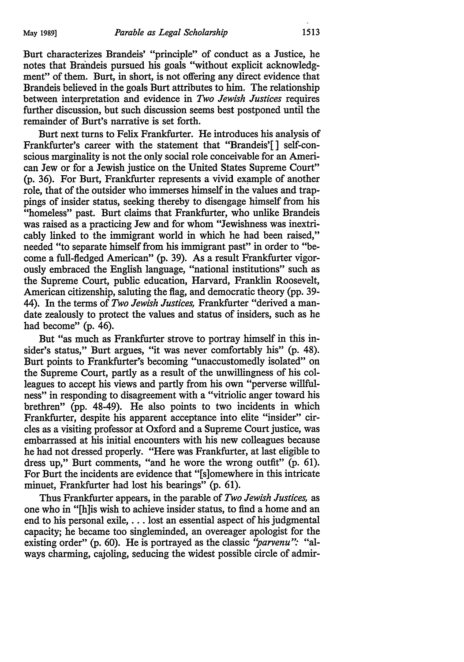Burt characterizes Brandeis' "principle" of conduct as a Justice, he notes that Brandeis pursued his goals "without explicit acknowledgment" of them. Burt, in short, is not offering any direct evidence that Brandeis believed in the goals Burt attributes to him. The relationship between interpretation and evidence in *Two Jewish Justices* requires further discussion, but such discussion seems best postponed until the remainder of Burt's narrative is set forth.

Burt next turns to Felix Frankfurter. He introduces his analysis of Frankfurter's career with the statement that "Brandeis'[] self-conscious marginality is not the only social role conceivable for an American Jew or for a Jewish justice on the United States Supreme Court" (p. 36). For Burt, Frankfurter represents a vivid example of another role, that of the outsider who immerses himself in the values and trappings of insider status, seeking thereby to disengage himself from his "homeless" past. Burt claims that Frankfurter, who unlike Brandeis was raised as a practicing Jew and for whom "Jewishness was inextricably linked to the immigrant world in which he had been raised," needed "to separate himself from his immigrant past" in order to "become a full-fledged American" (p. 39). As a result Frankfurter vigorously embraced the English language, "national institutions" such as the Supreme Court, public education, Harvard, Franklin Roosevelt, American citizenship, saluting the flag, and democratic theory (pp. 39- 44). In the terms of *Two Jewish Justices,* Frankfurter "derived a mandate zealously to protect the values and status of insiders, such as he had become" (p. 46).

But "as much as Frankfurter strove to portray himself in this insider's status," Burt argues, "it was never comfortably his" (p. 48). Burt points to Frankfurter's becoming "unaccustomedly isolated" on the Supreme Court, partly as a result of the unwillingness of his colleagues to accept his views and partly from his own "perverse willfulness" in responding to disagreement with a "vitriolic anger toward his brethren" (pp. 48-49). He also points to two incidents in which Frankfurter, despite his apparent acceptance into elite "insider" circles as a visiting professor at Oxford and a Supreme Court justice, was embarrassed at his initial encounters with his new colleagues because he had not dressed properly. "Here was Frankfurter, at last eligible to dress up," Burt comments, "and he wore the wrong outfit" (p. 61). For Burt the incidents are evidence that "[s]omewhere in this intricate minuet, Frankfurter had lost his bearings" (p. 61).

Thus Frankfurter appears, in the parable of *Two Jewish Justices,* as one who in "[h]is wish to achieve insider status, to find a home and an end to his personal exile, ... lost an essential aspect of his judgmental capacity; he became too singleminded, an overeager apologist for the existing order" (p. 60). He is portrayed as the classic *''parvenu":* "always charming, cajoling, seducing the widest possible circle of admir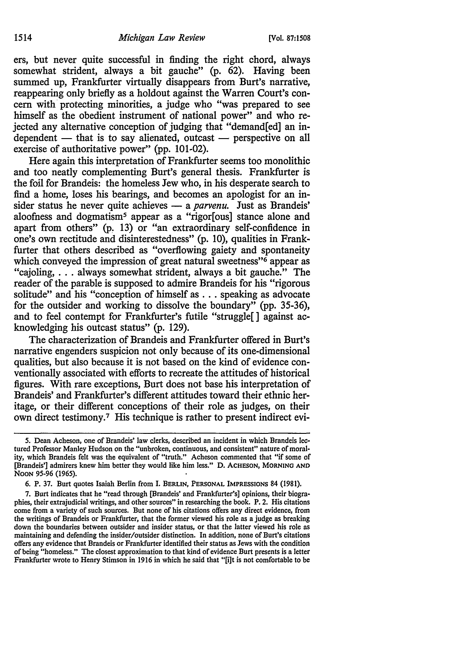ers, but never quite successful in finding the right chord, always somewhat strident, always a bit gauche" (p. 62). Having been summed up, Frankfurter virtually disappears from Burt's narrative, reappearing only briefly as a holdout against the Warren Court's concern with protecting minorities, a judge who "was prepared to see himself as the obedient instrument of national power" and who rejected any alternative conception of judging that "demand[ed] an independent  $-$  that is to say alienated, outcast  $-$  perspective on all exercise of authoritative power" (pp. 101-02).

Here again this interpretation of Frankfurter seems too monolithic and too neatly complementing Burt's general thesis. Frankfurter is the foil for Brandeis: the homeless Jew who, in his desperate search to find a home, loses his bearings, and becomes an apologist for an insider status he never quite achieves - a *parvenu*. Just as Brandeis' aloofness and dogmatism<sup>5</sup> appear as a "rigor[ous] stance alone and apart from others"  $(p, 13)$  or "an extraordinary self-confidence in one's own rectitude and disinterestedness" (p. 10), qualities in Frankfurter that others described as "overflowing gaiety and spontaneity which conveyed the impression of great natural sweetness<sup> $\frac{1}{6}$ </sup> appear as "cajoling, . . . always somewhat strident, always a bit gauche." The reader of the parable is supposed to admire Brandeis for his "rigorous solitude" and his "conception of himself as . . . speaking as advocate for the outsider and working to dissolve the boundary" (pp. 35-36), and to feel contempt for Frankfurter's futile "struggle[ ] against acknowledging his outcast status" (p. 129).

The characterization of Brandeis and Frankfurter offered in Burt's narrative engenders suspicion not only because of its one-dimensional qualities, but also because it is not based on the kind of evidence conventionally associated with efforts to recreate the attitudes of historical figures. With rare exceptions, Burt does not base his interpretation of Brandeis' and Frankfurter's different attitudes toward their ethnic heritage, or their different conceptions of their role as judges, on their own direct testimony.7 His technique is rather to present indirect evi-

<sup>5.</sup> Dean Acheson, one of Brandeis' Jaw clerks, described an incident in which Brandeis lec· tured Professor Manley Hudson on the "unbroken, continuous, and consistent" nature of morality, which Brandeis felt was the equivalent of "truth." Acheson commented that "if some of [Brandeis'] admirers knew him better they would like him less." D. ACHESON, MORNING AND NOON 95-96 (1965).

<sup>6.</sup> P. 37. Burt quotes Isaiah Berlin from I. BERLIN, PERSONAL IMPRESSIONS 84 (1981).

<sup>7.</sup> Burt indicates that he "read through [Brandeis' and Frankfurter's] opinions, their biogra· phies, their extrajudicial writings, and other sources" in researching the book. P. 2. His citations come from a variety of such sources. But none of his citations offers any direct evidence, from the writings of Brandeis or Frankfurter, that the former viewed his role as a judge as breaking down the boundaries between outsider and insider status, or that the latter viewed his role as maintaining and defending the insider/outsider distinction. In addition, none of Burt's citations offers any evidence that Brandeis or Frankfurter identified their status as Jews with the condition of being "homeless." The closest approximation to that kind of evidence Burt presents is a letter Frankfurter wrote to Henry Stimson in 1916 in which he said that "[i]t is not comfortable to be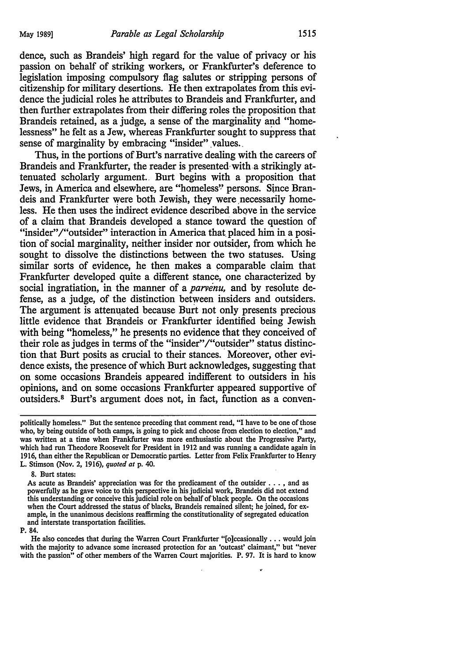dence, such as Brandeis' high regard for the value of privacy or his passion on behalf of striking workers, or Frankfurter's deference to legislation imposing compulsory flag salutes or stripping persons of citizenship for military desertions. He then extrapolates from this evidence the judicial roles he attributes to Brandeis and Frankfurter, and then further extrapolates from their differing roles the proposition that Brandeis retained, as a judge, a sense of the marginality and "homelessness" he felt as a Jew, whereas Frankfurter sought to suppress that sense of marginality by embracing "insider" values.

Thus, in the portions of Burt's narrative dealing with the careers of Brandeis and Frankfurter, the reader is presented, with a strikingly attenuated scholarly argument. Burt begins with a proposition that Jews, in America and elsewhere, are "homeless" persons. Since Brandeis and Frankfurter were both Jewish, they were necessarily homeless. He then uses the indirect evidence described above in the service of a claim that Brandeis developed a stance toward the question of "insider"/"outsider" interaction in America that placed him in a position of social marginality, neither insider nor outsider, from which he sought to dissolve the distinctions between the two statuses. Using similar sorts of evidence, he then makes a comparable claim that Frankfurter developed quite a different stance, one characterized by social ingratiation, in the manner of a *parvenu,* and by resolute defense, as a judge, of the distinction between insiders and outsiders. The argument is attenuated because Burt not only presents precious little evidence that Brandeis or Frankfurter identified being Jewish with being "homeless," he presents no evidence that they conceived of their role as judges in terms of the "insider" /"outsider" status distinction that Burt posits as crucial to their stances. Moreover, other evidence exists, the presence of which Burt acknowledges, suggesting that on some occasions Brandeis appeared indifferent to outsiders in his opinions, and on some occasions Frankfurter appeared supportive of outsiders. 8 Burt's argument does not, in fact, function as a conven-

8. Burt states:

P. 84.

He also concedes that during the Warren Court Frankfurter "[o]ccasionally ... would join with the majority to advance some increased protection for an 'outcast' claimant,'' but "never with the passion" of other members of the Warren Court majorities. P. 97. It is hard to know

politically homeless." But the sentence preceding that comment read, "I have to be one of those who, by being outside of both camps, is going to pick and choose from election to election,'' and was written at a time when Frankfurter was more enthusiastic about the Progressive Party, which had run Theodore Roosevelt for President in 1912 and was running a candidate again in 1916, than either the Republican or Democratic parties. Letter from Felix Frankfurter to Henry L. Stimson (Nov. 2, 1916), *quoted at* p. 40.

As acute as Brandeis' appreciation was for the predicament of the outsider ... , and as powerfully as he gave voice to this perspective in his judicial work, Brandeis did not extend this understanding or conceive this judicial role on behalf of black people. On the occasions when the Court addressed the status of blacks, Brandeis remained silent; he joined, for example, in the unanimous decisions reaffirming the constitutionality of segregated education and interstate transportation facilities.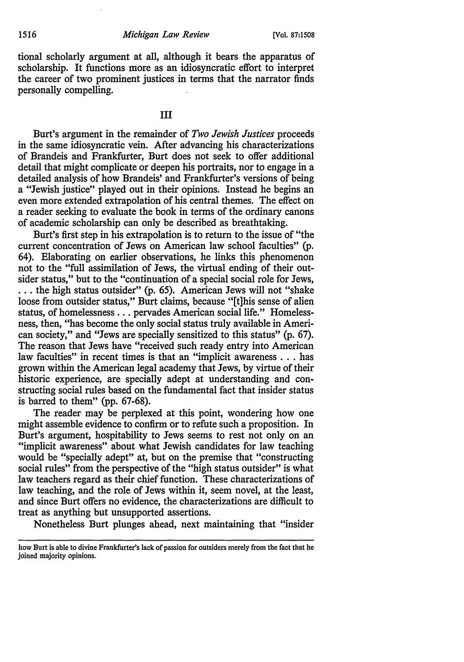tional scholarly argument at all, although it bears the apparatus of scholarship. It functions more as an idiosyncratic effort to interpret the career of two prominent justices in terms that the narrator finds personally compelling.

#### III

Burt's argument in the remainder of *Two Jewish Justices* proceeds in the same idiosyncratic vein. After advancing his characterizations of Brandeis and Frankfurter, Burt does not seek to offer additional detail that might complicate or deepen his portraits, nor to engage in a detailed analysis of how Brandeis' and Frankfurter's versions of being a "Jewish justice" played out in their opinions. Instead he begins an even more extended extrapolation of his central themes. The effect on a reader seeking to evaluate the book in terms of the ordinary canons of academic scholarship can only be described as breathtaking.

Burt's first step in his extrapolation is to return to the issue of "the current concentration of Jews on American law school faculties" (p. 64). Elaborating on earlier observations, he links this phenomenon not to the "full assimilation of Jews, the virtual ending of their outsider status," but to the "continuation of a special social role for Jews, ... the high status outsider" (p. 65). American Jews will not "shake loose from outsider status," Burt claims, because "[t]his sense of alien status, of homelessness ... pervades American social life." Homelessness, then, "has become the only social status truly available in American society," and "Jews are specially sensitized to this status" (p. 67). The reason that Jews have "received such ready entry into American law faculties" in recent times is that an "implicit awareness . . . has grown within the American legal academy that Jews, by virtue of their historic experience, are specially adept at understanding and constructing social rules based on the fundamental fact that insider status is barred to them" (pp. 67-68).

The reader may be perplexed at this point, wondering how one might assemble evidence to confirm or to refute such a proposition. In Burt's argument, hospitability to Jews seems to rest not only on an "implicit awareness" about what Jewish candidates for law teaching would be "specially adept" at, but on the premise that "constructing social rules" from the perspective of the "high status outsider" is what law teachers regard as their chief function. These characterizations of law teaching, and the role of Jews within it, seem novel, at the least, and since Burt offers no evidence, the characterizations are difficult to treat as anything but unsupported assertions.

Nonetheless Burt plunges ahead, next maintaining that "insider

how Burt is able to divine Frankfurter's lack of passion for outsiders merely from the fact that he joined majority opinions.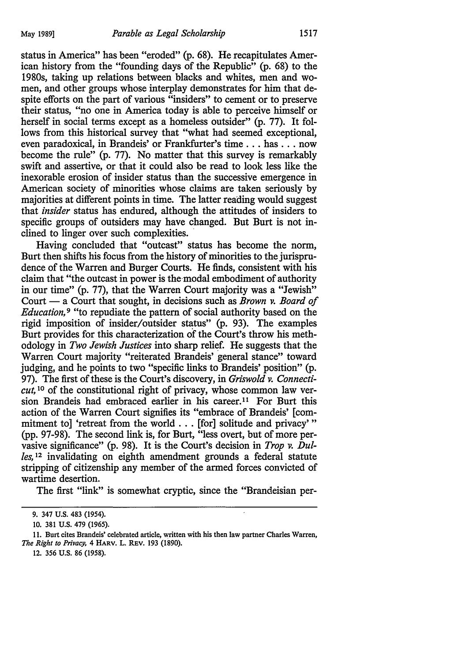status in America" has been "eroded" (p. 68). He recapitulates American history from the "founding days of the Republic" (p. 68) to the 1980s, taking up relations between blacks and whites, men and women, and other groups whose interplay demonstrates for him that despite efforts on the part of various "insiders" to cement or to preserve their status, "no one in America today is able to perceive himself or herself in social terms except as a homeless outsider" (p. 77). It follows from this historical survey that "what had seemed exceptional, even paradoxical, in Brandeis' or Frankfurter's time ... has ... now become the rule" (p. 77). No matter that this survey is remarkably swift and assertive, or that it could also be read to look less like the inexorable erosion of insider status than the successive emergence in American society of minorities whose claims are taken seriously by majorities at different points in time. The latter reading would suggest that *insider* status has endured, although the attitudes of insiders to specific groups of outsiders may have changed. But Burt is not inclined to linger over such complexities.

Having concluded that "outcast" status has become the norm, Burt then shifts his focus from the history of minorities to the jurisprudence of the Warren and Burger Courts. He finds, consistent with his claim that "the outcast in power is the modal embodiment of authority in our time" (p. 77), that the Warren Court majority was a "Jewish" Court - a Court that sought, in decisions such as *Brown v. Board of Education,* 9 "to repudiate the pattern of social authority based on the rigid imposition of insider/outsider status" (p. 93). The examples Burt provides for this characterization of the Court's throw his methodology in *Two Jewish Justices* into sharp relief. He suggests that the Warren Court majority "reiterated Brandeis' general stance" toward judging, and he points to two "specific links to Brandeis' position" (p. 97). The first of these is the Court's discovery, in *Griswold v. Connecticut,* 10 of the constitutional right of privacy, whose common law version Brandeis had embraced earlier in his career. 11 For Burt this action of the Warren Court signifies its "embrace of Brandeis' [commitment to] 'retreat from the world . . . [for] solitude and privacy'" (pp. 97-98). The second link is, for Burt, "less overt, but of more pervasive significance" (p. 98). It is the Court's decision in *Trop v. Dulles,* 12 invalidating on eighth amendment grounds a federal statute stripping of citizenship any member of the armed forces convicted of wartime desertion.

The first "link" is somewhat cryptic, since the "Brandeisian per-

<sup>9. 347</sup> U.S. 483 (1954).

<sup>10. 381</sup> U.S. 479 (1965).

<sup>11.</sup> Burt cites Brandeis' celebrated article, written with his then law partner Charles Warren, *The Right to Privacy,* 4 HARV. L. REV. 193 (1S90).

<sup>12. 356</sup> U.S. 86 (1958).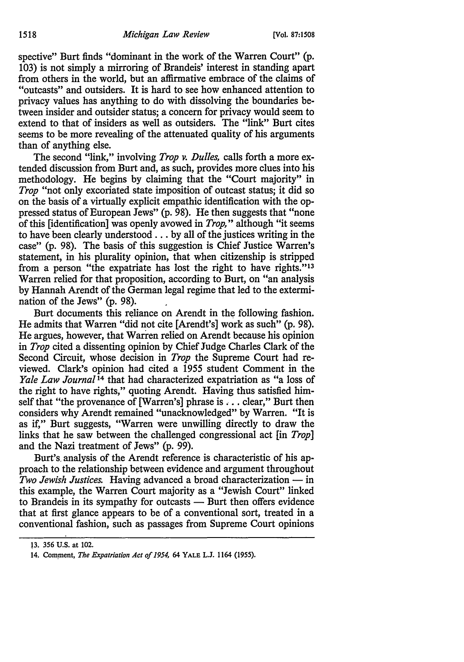spective" Burt finds "dominant in the work of the Warren Court" (p. 103) is not simply a mirroring of Brandeis' interest in standing apart from others in the world, but an affirmative embrace of the claims of "outcasts" and outsiders. It is hard to see how enhanced attention to privacy values has anything to do with dissolving the boundaries between insider and outsider status; a concern for privacy would seem to extend to that of insiders as well as outsiders. The "link" Burt cites seems to be more revealing of the attenuated quality of his arguments than of anything else.

The second "link," involving *Trop v. Dulles*, calls forth a more extended discussion from Burt and, as such, provides more clues into his methodology. He begins by claiming that the "Court majority" in *Trop* "not only excoriated state imposition of outcast status; it did so on the basis of a virtually explicit empathic identification with the oppressed status of European Jews" (p. 98). He then suggests that "none of this [identification] was openly avowed in *Trop,"* although "it seems to have been clearly understood ... by all of the justices writing in the case" (p. 98). The basis of this suggestion is Chief Justice Warren's statement, in his plurality opinion, that when citizenship is stripped from a person "the expatriate has lost the right to have rights."<sup>13</sup> Warren relied for that proposition, according to Burt, on "an analysis by Hannah Arendt of the German legal regime that led to the extermination of the Jews" (p. 98).

Burt documents this reliance on Arendt in the following fashion. He admits that Warren "did not cite [Arendt's] work as such" (p. 98). He argues, however, that Warren relied on Arendt because his opinion in *Trop* cited a dissenting opinion by Chief Judge Charles Clark of the Second Circuit, whose decision in *Trop* the Supreme Court had reviewed. Clark's opinion had cited a 1955 student Comment in the *Yale Law Journal* 14 that had characterized expatriation as "a loss of the right to have rights," quoting Arendt. Having thus satisfied himself that "the provenance of [Warren's] phrase is ... clear," Burt then considers why Arendt remained "unacknowledged" by Warren. "It is as if," Burt suggests, "Warren were unwilling directly to draw the links that he saw between the challenged congressional act [in *Trop]*  and the Nazi treatment of Jews" (p. 99).

Burt's. analysis of the Arendt reference is characteristic of his approach to the relationship between evidence and argument throughout  $Two$  *Jewish Justices.* Having advanced a broad characterization  $-$  in this example, the Warren Court majority as a "Jewish Court" linked to Brandeis in its sympathy for outcasts — Burt then offers evidence that at first glance appears to be of a conventional sort, treated in a conventional fashion, such as passages from Supreme Court opinions

<sup>13. 356</sup> U.S. at 102.

<sup>14.</sup> Com\_ment, *The Expatriation Act of 1954,* 64 YALE L.J. 1164 (1955).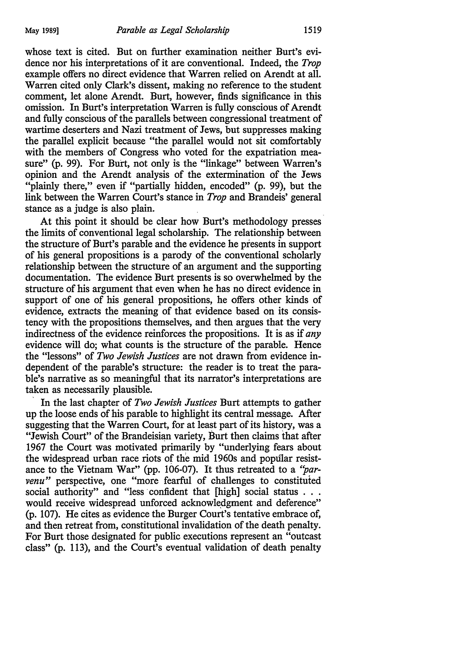whose text is cited. But on further examination neither Burt's evidence nor his interpretations of it are conventional. Indeed, the *Trop*  example offers no direct evidence that Warren relied on Arendt at all. Warren cited only Clark's dissent, making no reference to the student comment, let alone Arendt. Burt, however, finds significance in this omission. In Burt's interpretation Warren is fully conscious of Arendt and fully conscious of the parallels between congressional treatment of wartime deserters and Nazi treatment of Jews, but suppresses making the parallel explicit because "the parallel would not sit comfortably with the members of Congress who voted for the expatriation measure" (p. 99). For Burt, not only is the "linkage" between Warren's opinion and the Arendt analysis of the extermination of the Jews "plainly there," even if "partially hidden, encoded" (p. 99), but the link between the Warren Court's stance in *Trop* and Brandeis' general stance as a judge is also plain.

At this point it should be clear how Burt's methodology presses the limits of conventional legal scholarship. The relationship between the structure of Burt's parable and the evidence he presents in support of his general propositions is a parody of the conventional scholarly relationship between the structure of an argument and the supporting documentation. The evidence Burt presents is so overwhelmed by the structure of his argument that even when he has no direct evidence in support of one of his general propositions, he offers other kinds of evidence, extracts the meaning of that evidence based on its consistency with the propositions themselves, and then argues that the very indirectness of the evidence reinforces the propositions. It is as if any evidence will do; what counts is the structure of the parable. Hence the "lessons" of *Two Jewish Justices* are not drawn from evidence independent of the parable's structure: the reader is to treat the parable's narrative as so meaningful that its narrator's interpretations are taken as necessarily plausible.

' In the last chapter of *Two Jewish Justices* Burt attempts to gather up the loose ends of his parable to highlight its central message. After suggesting that the Warren Court, for at least part of its history, was a "Jewish Court" of the Brandeisian variety, Burt then claims that after 1967 the Court was motivated primarily by "underlying fears about the widespread urban race riots of the mid 1960s and popular resistance to the Vietnam War" (pp. 106-07). It thus retreated to a *''parvenu"* perspective, one "more fearful of challenges to constituted social authority" and "less confident that [high] social status . . . would receive widespread unforced acknowledgment and deference" (p. 107). He cites as evidence the Burger Court's tentative embrace of, and then retreat from, constitutional invalidation of the death penalty. For Burt those designated for public executions represent an "outcast class" (p. 113), and the Court's eventual validation of death penalty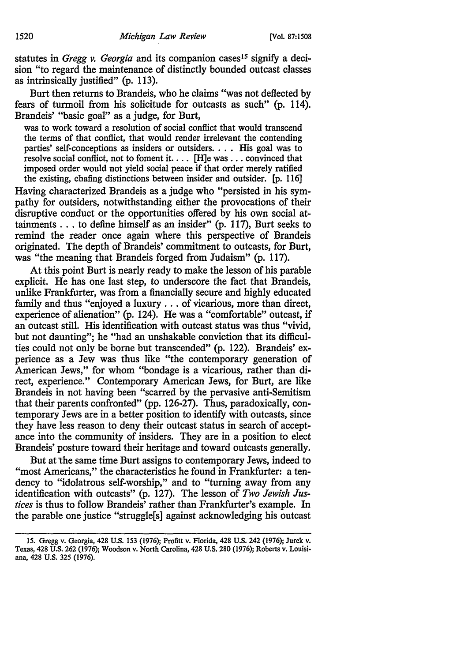statutes in *Gregg v. Georgia* and its companion cases<sup>15</sup> signify a decision "to regard the maintenance of distinctly bounded outcast classes as intrinsically justified" (p. 113).

Burt then returns to Brandeis, who he claims "was not deflected by fears of turmoil from his solicitude for outcasts as such" (p. 114). Brandeis' "basic goal" as a judge, for Burt,

was to work toward a resolution of social conflict that would transcend the terms of that conflict, that would render irrelevant the contending parties' self-conceptions as insiders or outsiders. . . . His goal was to resolve social conflict, not to foment it. . . . [H]e was ... convinced that imposed order would not yield social peace if that order merely ratified the existing, chafing distinctions between insider and outsider. [p. 116]

Having characterized Brandeis as a judge who "persisted in his sympathy for outsiders, notwithstanding either the provocations of their disruptive conduct or the opportunities offered by his own social attainments  $\dots$  to define himself as an insider" (p. 117), Burt seeks to remind the reader once again where this perspective of Brandeis originated. The depth of Brandeis' commitment to outcasts, for Burt, was "the meaning that Brandeis forged from Judaism" (p. 117).

At this point Burt is nearly ready to make the lesson of his parable explicit. He has one last step, to underscore the fact that Brandeis, unlike Frankfurter, was from a financially secure and highly educated family and thus "enjoyed a luxury ... of vicarious, more than direct, experience of alienation" (p. 124). He was a "comfortable" outcast, if an outcast still. His identification with outcast status was thus "vivid, but not daunting"; he "had an unshakable conviction that its difficulties could not only be borne but transcended" (p. 122). Brandeis' experience as a Jew was thus like "the contemporary generation of American Jews,'' for whom "bondage is a vicarious, rather than direct, experience." Contemporary American Jews, for Burt, are like Brandeis in not having been "scarred by the pervasive anti-Semitism that their parents confronted" (pp. 126-27). Thus, paradoxically, contemporary Jews are in a better position to identify with outcasts, since they have less reason to deny their outcast status in search of acceptance into the community of insiders. They are in a position to elect Brandeis' posture toward their heritage and toward outcasts generally.

But at the same time Burt assigns to contemporary Jews, indeed to "most Americans," the characteristics he found in Frankfurter: a tendency to "idolatrous self-worship,'' and to "turning away from any identification with outcasts" (p. 127). The lesson of *Two Jewish Justices* is thus to follow Brandeis' rather than Frankfurter's example. In the parable one justice "struggle[s] against acknowledging his outcast

<sup>15.</sup> Gregg v. Georgia, 428 U.S. 153 (1976); Profitt v. Florida, 428 U.S. 242 (1976); Jurek v. Texas, 428 U.S. 262 (1976); Woodson v. North Carolina, 428 U.S. 280 (1976); Roberts v. Louisiana, 428 U.S. 325 (1976).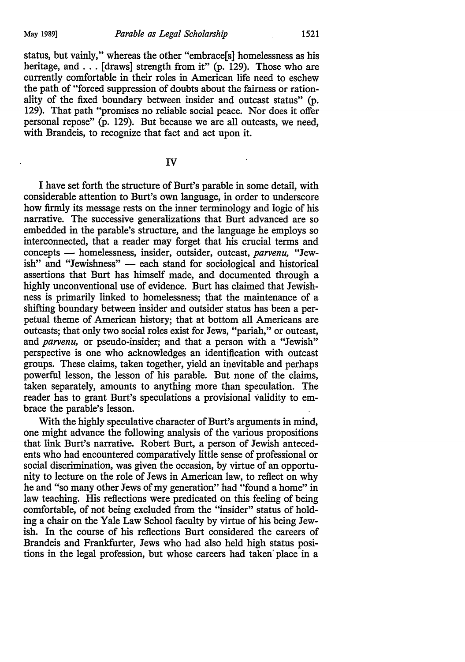status, but vainly," whereas the other "embrace<sup>[s]</sup> homelessness as his heritage, and . . . [draws] strength from it" (p. 129). Those who are currently comfortable in their roles in American life need to eschew the path of "forced suppression of doubts about the fairness or rationality of the fixed boundary between insider and outcast status" (p. 129). That path "promises no reliable social peace. Nor does it offer personal repose" (p. 129). But because we are all outcasts, we need, with Brandeis, to recognize that fact and act upon it.

IV

I have set forth the structure of Burt's parable in some detail, with considerable attention to Burt's own language, in order to underscore how firmly its message rests on the inner terminology and logic of his narrative. The successive generalizations that Burt advanced are so embedded in the parable's structure, and the language he employs so interconnected, that a reader may forget that his crucial terms and concepts - homelessness, insider, outsider, outcast, *parvenu*, "Jewish" and "Jewishness" - each stand for sociological and historical assertions that Burt has himself made, and documented through a highly unconventional use of evidence. Burt has claimed that Jewishness is primarily linked to homelessness; that the maintenance of a shifting boundary between insider and outsider status has been a perpetual theme of American history; that at bottom all Americans are outcasts; that only two social roles exist for Jews, "pariah," or outcast, and *parvenu,* or pseudo-insider; and that a person with a "Jewish" perspective is one who acknowledges an identification with outcast groups. These claims, taken together, yield an inevitable and perhaps powerful lesson, the lesson of his parable. But none of the claims, taken separately, amounts to anything more than speculation. The reader has to grant Burt's speculations a provisional validity to embrace the parable's lesson.

With the highly speculative character of Burt's arguments in mind, one might advance the following analysis of the various propositions that link Burt's narrative. Robert Burt, a person of Jewish antecedents who had encountered comparatively little sense of professional or social discrimination, was given the occasion, by virtue of an opportunity to lecture on the role of Jews in American law, to reflect on why he and "so many other Jews of my generation" had "foupd a home" in law teaching. His reflections were predicated on this feeling of being comfortable, of not being excluded from the "insider" status of holding a chair on the Yale Law School faculty by virtue of his being Jewish. In the course of his reflections Burt considered the careers of Brandeis and Frankfurter, Jews who had also held high status positions in the legal profession, but whose careers had taken' place in a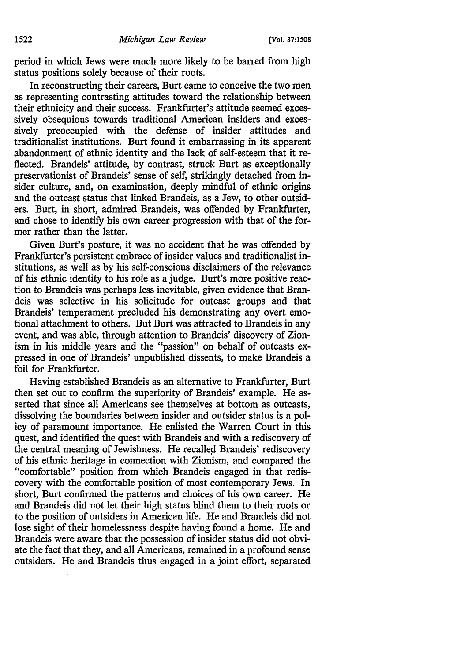period in which Jews were much more likely to be barred from high status positions solely because of their roots.

In reconstructing their careers, Burt came to conceive the two men as representing contrasting attitudes toward the relationship between their ethnicity and their success. Frankfurter's attitude seemed excessively obsequious towards traditional American insiders and excessively preoccupied with the defense of insider attitudes and traditionalist institutions. Burt found it embarrassing in its apparent abandonment of ethnic identity and the lack of self-esteem that it reflected. Brandeis' attitude, by contrast, struck Burt as exceptionally preservationist of Brandeis' sense of self, strikingly detached from insider culture, and, on examination, deeply mindful of ethnic origins and the outcast status that linked Brandeis, as a Jew, to other outsiders. Burt, in short, admired Brandeis, was offended by Frankfurter, and chose to identify his own career progression with that of the former rather than the latter.

Given Burt's posture, it was no accident that he was offended by Frankfurter's persistent embrace of insider values and traditionalist institutions, as well as by his self-conscious disclaimers of the relevance of his ethnic identity to his role as a judge. Burt's more positive reaction to Brandeis was perhaps less inevitable, given evidence that Brandeis was selective in his solicitude for outcast groups and that Brandeis' temperament precluded his demonstrating any overt emotional attachment to others. But Burt was attracted to Brandeis in any event, and was able, through attention to Brandeis' discovery of Zionism in his middle years and the "passion" on behalf of outcasts expressed in one of Brandeis' unpublished dissents, to make Brandeis a foil for Frankfurter.

Having established Brandeis as an alternative to Frankfurter, Burt then set out to confirm the superiority of Brandeis' example. He asserted that since all Americans see themselves at bottom as outcasts, dissolving the boundaries between insider and outsider status is a policy of paramount importance. He enlisted the Warren Court in this quest, and identified the quest with Brandeis and with a rediscovery of the central meaning of Jewishness. He recalled Brandeis' rediscovery of his ethnic heritage in connection with Zionism, and compared the "comfortable" position from which Brandeis engaged in that rediscovery with the comfortable position of most contemporary Jews. In short, Burt confirmed the patterns and choices of his own career. He and Brandeis did not let their high status blind them to their roots or to the position of outsiders in American life. He and Brandeis did not lose sight of their homelessness despite having found a home. He and Brandeis were aware that the possession of insider status did not obviate the fact that they, and all Americans, remained in a profound sense outsiders. He and Brandeis thus engaged in a joint effort, separated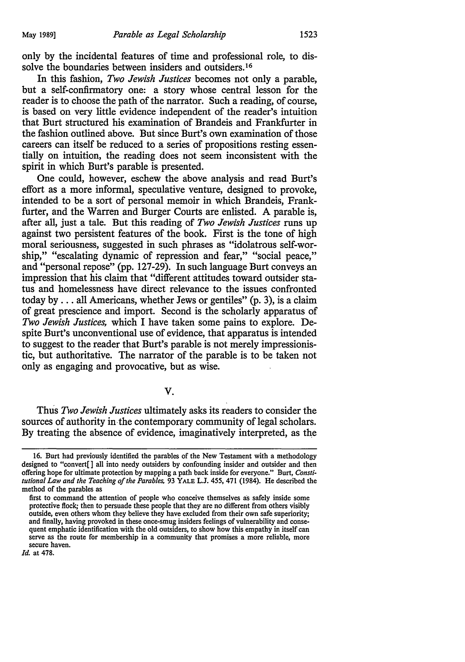only by the incidental features of time and professional role, to dissolve the boundaries between insiders and outsiders.<sup>16</sup>

In this fashion, *Two Jewish Justices* becomes not only a parable, but a self-confirmatory one: a story whose central lesson for the reader is to choose the path of the narrator. Such a reading, of course, is based on very little evidence independent of the reader's intuition that Burt structured his examination of Brandeis and Frankfurter in the fashion outlined above. But since Burt's own examination of those careers can itself be reduced to a series of propositions resting essentially on intuition, the reading does not seem inconsistent with the spirit in which Burt's parable is presented.

One could, however, eschew the above analysis and read Burt's effort as a more informal, speculative venture, designed to provoke, intended to be a sort of personal memoir in which Brandeis, Frankfurter, and the Warren and Burger Courts are enlisted. A parable is, after all, just a tale. But this reading of *Two Jewish Justices* runs up against two persistent features of the book. First is the tone of high moral seriousness, suggested in such phrases as "idolatrous self-worship," "escalating dynamic of repression and fear," "social peace," and "personal repose" (pp. 127-29). In such language Burt conveys an impression that his claim that "different attitudes toward outsider status and homelessness have direct relevance to the issues confronted today by  $\dots$  all Americans, whether Jews or gentiles" (p. 3), is a claim of great prescience and import. Second is the scholarly apparatus of *Two Jewish Justices,* which I have taken some pains to explore. Despite Burt's unconventional use of evidence, that apparatus is intended to suggest to the reader that Burt's parable is not merely impressionistic, but authoritative. The narrator of the parable is to be taken not only as engaging and provocative, but as wise.

v.

Thus *Two Jewish Justices* ultimately asks its readers to consider the sources of authority in the contemporary community of legal scholars. By treating the absence of evidence, imaginatively interpreted, as the

*Id.* at 478.

<sup>16.</sup> Burt had previously identified the parables of the New Testament with a methodology designed to "convert[] all into needy outsiders by confounding insider and outsider and then offering hope for ultimate protection by mapping a path back inside for everyone." Burt, *Consti-tutional Law and the Teaching of the Parables,* 93 YALE L.J. 455, 471 (1984). He described the method of the parables as

first to command the attention of people who conceive themselves as safely inside some protective flock; then to persuade these people that they are no different from others visibly outside, even others whom they believe they have excluded from their own safe superiority; and finally, having provoked in these once-smug insiders feelings of vulnerability and consequent emphatic identification with the old outsiders, to show how this empathy in itself can serve as the route for membership in a community that promises a more reliable, more secure haven.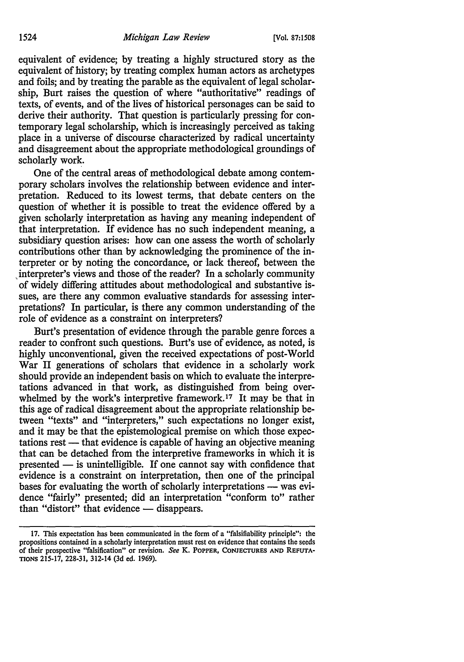equivalent of evidence; by treating a highly structured story as the equivalent of history; by treating complex human actors as archetypes and foils; and by treating the parable as the equivalent of legal scholarship, Burt raises the question of where "authoritative" readings of texts, of events, and of the lives of historical personages can be said to derive their authority. That question is particularly pressing for contemporary legal scholarship, which is increasingly perceived as taking place in a universe of discourse characterized by radical uncertainty and disagreement about the appropriate methodological groundings of scholarly work.

One of the central areas of methodological debate among contemporary scholars involves the relationship between evidence and interpretation. Reduced to its lowest terms, that debate centers on the question of whether it is possible to treat the evidence offered by a given scholarly interpretation as having any meaning independent of that interpretation. If evidence has no such independent meaning, a subsidiary question arises: how can one assess the worth of scholarly contributions other than by acknowledging the prominence of the interpreter or by noting the concordance, or lack thereof, between the interpreter's views and those of the reader? In a scholarly community of widely differing attitudes about methodological and substantive issues, are there any common evaluative standards for assessing interpretations? In particular, is there any common understanding of the role of evidence as a constraint on interpreters?

Burt's presentation of evidence through the parable genre forces a reader to confront such questions. Burt's use of evidence, as noted, is highly unconventional, given the received expectations of post-World War II generations of scholars that evidence in a scholarly work should provide an independent basis on which to evaluate the interpretations advanced in that work, as distinguished from being overwhelmed by the work's interpretive framework.<sup>17</sup> It may be that in this age of radical disagreement about the appropriate relationship between "texts" and "interpreters," such expectations no longer exist, and it may be that the epistemological premise on which those expectations rest - that evidence is capable of having an objective meaning that can be detached from the interpretive frameworks in which it is  $presented$   $-$  is unintelligible. If one cannot say with confidence that evidence is a constraint on interpretation, then one of the principal bases for evaluating the worth of scholarly interpretations — was evidence "fairly" presented; did an interpretation "conform to" rather than "distort" that evidence - disappears.

<sup>17.</sup> This expectation has been communicated in the form of a "falsifiability principle": the propositions contained in a scholarly interpretation must rest on evidence that contains the seeds of their prospective "falsification" or revision. *See* K. POPPER, CONJECTURES AND REFUTA-TIONS 215-17, 228-31, 312-14 (3d ed. 1969).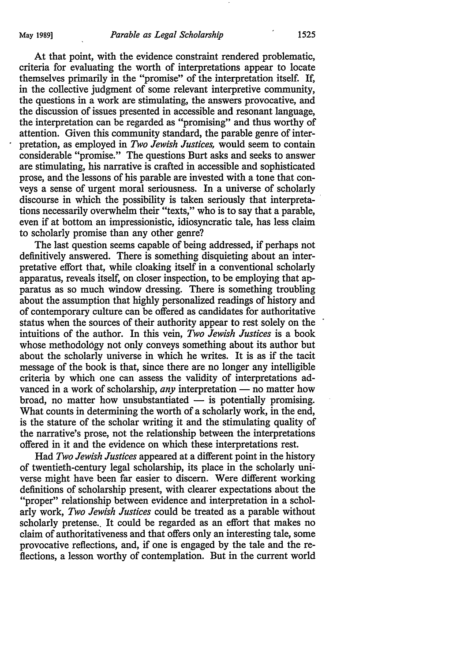At that point, with the evidence constraint rendered problematic, criteria for evaluating the worth of interpretations appear to locate themselves primarily in the "promise" of the interpretation itself. If, in the collective judgment of some relevant interpretive community, the questions in a work are stimulating, the answers provocative, and the discussion of issues presented in accessible and resonant language, the interpretation can be regarded as "promising" and thus worthy of attention. Given this community standard, the parable genre of interpretation, as employed in *Two Jewish Justices,* would seem to contain considerable "promise." The questions Burt asks and seeks to answer are stimulating, his narrative is crafted in accessible and sophisticated prose, and the lessons of his parable are invested with a tone that conveys a sense of urgent moral seriousness. In a universe of scholarly discourse in which the possibility is taken seriously that interpreta- · tions necessarily overwhelm their "texts," who is to say that a parable, even if at bottom an impressionistic, idiosyncratic tale, has less claim to scholarly promise than any other genre?

The last question seems capable of being addressed, if perhaps not definitively answered. There is something disquieting about an interpretative effort that, while cloaking itself in a conventional scholarly apparatus, reveals itself, on closer inspection, to be employing that apparatus as so much window dressing. There is something troubling about the assumption that highly personalized readings of history and of contemporary culture can be offered as candidates for authoritative status when the sources of their authority appear to rest solely on the intuitions of the author. In this vein, *Two Jewish Justices* is a book whose methodology not only conveys something about its author but about the scholarly universe in which he writes. It is as if the tacit message of the book is that, since there are no longer any intelligible criteria by which one can assess the validity of interpretations advanced in a work of scholarship, any interpretation  $-$  no matter how broad, no matter how unsubstantiated  $-$  is potentially promising. What counts in determining the worth of a scholarly work, in the end, is the stature of the scholar writing it and the stimulating quality of the narrative's prose, not the relationship between the interpretations offered in it and the evidence on which these interpretations rest.

Had *Two Jewish Justices* appeared at a different point in the history of twentieth-century legal scholarship, its place in the scholarly universe might have been far easier to discern. Were different working definitions of scholarship present, with clearer expectations about the "proper" reiationship between evidence and interpretation in a scholarly work, *Two Jewish Justices* could be treated as a parable without scholarly pretense.. It could be regarded as an effort that makes no claim of authoritativeness and that offers only an interesting tale, some provocative reflections, and, if one is engaged by the tale and the reflections, a lesson worthy of contemplation. But in the current world